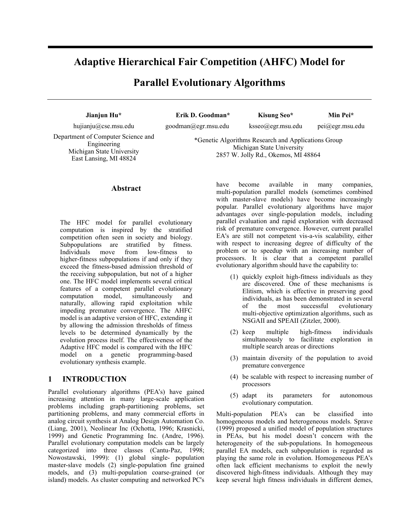# **Adaptive Hierarchical Fair Competition (AHFC) Model for**

## **Parallel Evolutionary Algorithms**

**Jianjun Hu\*** hujianju@cse.msu.edu

**Erik D. Goodman\*** goodman@egr.msu.edu

**Kisung Seo\***  ksseo@egr.msu.edu

**Min Pei\***  pei@egr.msu.edu

Department of Computer Science and Engineering Michigan State University East Lansing, MI 48824

\*Genetic Algorithms Research and Applications Group Michigan State University 2857 W. Jolly Rd., Okemos, MI 48864

#### **Abstract**

The HFC model for parallel evolutionary computation is inspired by the stratified competition often seen in society and biology. Subpopulations are stratified by fitness. Individuals move from low-fitness to higher-fitness subpopulations if and only if they exceed the fitness-based admission threshold of the receiving subpopulation, but not of a higher one. The HFC model implements several critical features of a competent parallel evolutionary computation model, simultaneously and naturally, allowing rapid exploitation while impeding premature convergence. The AHFC model is an adaptive version of HFC, extending it by allowing the admission thresholds of fitness levels to be determined dynamically by the evolution process itself. The effectiveness of the Adaptive HFC model is compared with the HFC model on a genetic programming-based evolutionary synthesis example.

#### **1 INTRODUCTION**

Parallel evolutionary algorithms (PEA's) have gained increasing attention in many large-scale application problems including graph-partitioning problems, set partitioning problems, and many commercial efforts in analog circuit synthesis at Analog Design Automation Co. (Liang, 2001), Neolinear Inc (Ochotta, 1996; Krasnicki, 1999) and Genetic Programming Inc. (Andre, 1996). Parallel evolutionary computation models can be largely categorized into three classes (Cantu-Paz, 1998; Nowostawski, 1999): (1) global single- population master-slave models (2) single-population fine grained models, and (3) multi-population coarse-grained (or island) models. As cluster computing and networked PC's

have become available in many companies, multi-population parallel models (sometimes combined with master-slave models) have become increasingly popular. Parallel evolutionary algorithms have major advantages over single-population models, including parallel evaluation and rapid exploration with decreased risk of premature convergence. However, current parallel EA's are still not competent vis-a-vis scalability, either with respect to increasing degree of difficulty of the problem or to speedup with an increasing number of processors. It is clear that a competent parallel evolutionary algorithm should have the capability to:

- (1) quickly exploit high-fitness individuals as they are discovered. One of these mechanisms is Elitism, which is effective in preserving good individuals, as has been demonstrated in several of the most successful evolutionary multi-objective optimization algorithms, such as NSGAII and SPEAII (Zitzler, 2000).
- (2) keep multiple high-fitness individuals simultaneously to facilitate exploration in multiple search areas or directions
- (3) maintain diversity of the population to avoid premature convergence
- (4) be scalable with respect to increasing number of processors
- (5) adapt its parameters for autonomous evolutionary computation.

Multi-population PEA's can be classified into homogeneous models and heterogeneous models. Sprave (1999) proposed a unified model of population structures in PEAs, but his model doesn't concern with the heterogeneity of the sub-populations. In homogeneous parallel EA models, each subpopulation is regarded as playing the same role in evolution. Homogeneous PEA's often lack efficient mechanisms to exploit the newly discovered high-fitness individuals. Although they may keep several high fitness individuals in different demes,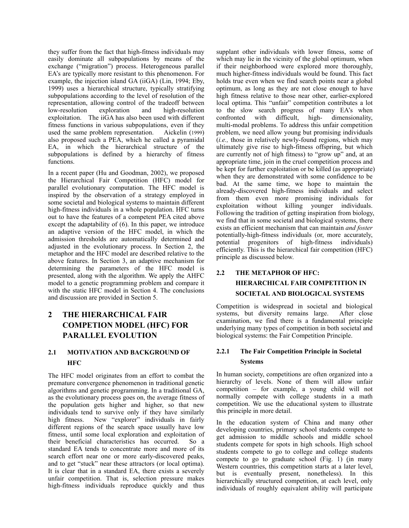they suffer from the fact that high-fitness individuals may easily dominate all subpopulations by means of the exchange ("migration") process. Heterogeneous parallel EA's are typically more resistant to this phenomenon. For example, the injection island GA (iiGA) (Lin, 1994; Eby, 1999) uses a hierarchical structure, typically stratifying subpopulations according to the level of resolution of the representation, allowing control of the tradeoff between low-resolution exploration and high-resolution exploitation. The iiGA has also been used with different fitness functions in various subpopulations, even if they used the same problem representation. Aickelin (1999) also proposed such a PEA, which he called a pyramidal EA, in which the hierarchical structure of the subpopulations is defined by a hierarchy of fitness functions.

In a recent paper (Hu and Goodman, 2002), we proposed the Hierarchical Fair Competition (HFC) model for parallel evolutionary computation. The HFC model is inspired by the observation of a strategy employed in some societal and biological systems to maintain different high-fitness individuals in a whole population. HFC turns out to have the features of a competent PEA cited above except the adaptability of (6). In this paper, we introduce an adaptive version of the HFC model, in which the admission thresholds are automatically determined and adjusted in the evolutionary process. In Section 2, the metaphor and the HFC model are described relative to the above features. In Section 3, an adaptive mechanism for determining the parameters of the HFC model is presented, along with the algorithm. We apply the AHFC model to a genetic programming problem and compare it with the static HFC model in Section 4. The conclusions and discussion are provided in Section 5.

## **2 THE HIERARCHICAL FAIR COMPETION MODEL (HFC) FOR PARALLEL EVOLUTION**

#### **2.1 MOTIVATION AND BACKGROUND OF HFC**

The HFC model originates from an effort to combat the premature convergence phenomenon in traditional genetic algorithms and genetic programming. In a traditional GA, as the evolutionary process goes on, the average fitness of the population gets higher and higher, so that new individuals tend to survive only if they have similarly high fitness. New "explorer" individuals in fairly different regions of the search space usually have low fitness, until some local exploration and exploitation of their beneficial characteristics has occurred. So a standard EA tends to concentrate more and more of its search effort near one or more early-discovered peaks, and to get "stuck" near these attractors (or local optima). It is clear that in a standard EA, there exists a severely unfair competition. That is, selection pressure makes high-fitness individuals reproduce quickly and thus

supplant other individuals with lower fitness, some of which may lie in the vicinity of the global optimum, when if their neighborhood were explored more thoroughly, much higher-fitness individuals would be found. This fact holds true even when we find search points near a global optimum, as long as they are not close enough to have high fitness relative to those near other, earlier-explored local optima. This "unfair" competition contributes a lot to the slow search progress of many EA's when confronted with difficult, high- dimensionality, multi-modal problems. To address this unfair competition problem, we need allow young but promising individuals (*i.e.,* those in relatively newly-found regions, which may ultimately give rise to high-fitness offspring, but which are currently not of high fitness) to "grow up" and, at an appropriate time, join in the cruel competition process and be kept for further exploitation or be killed (as appropriate) when they are demonstrated with some confidence to be bad. At the same time, we hope to maintain the already-discovered high-fitness individuals and select from them even more promising individuals for exploitation without killing younger individuals. Following the tradition of getting inspiration from biology, we find that in some societal and biological systems, there exists an efficient mechanism that can maintain *and foster* potentially-high-fitness individuals (or, more accurately, potential progenitors of high-fitness individuals) efficiently. This is the hierarchical fair competition (HFC) principle as discussed below.

## **2.2 THE METAPHOR OF HFC: HIERARCHICAL FAIR COMPETITION IN SOCIETAL AND BIOLOGICAL SYSTEMS**

Competition is widespread in societal and biological systems, but diversity remains large. After close examination, we find there is a fundamental principle underlying many types of competition in both societal and biological systems: the Fair Competition Principle.

### **2.2.1 The Fair Competition Principle in Societal Systems**

In human society, competitions are often organized into a hierarchy of levels. None of them will allow unfair competition – for example, a young child will not normally compete with college students in a math competition. We use the educational system to illustrate this principle in more detail.

In the education system of China and many other developing countries, primary school students compete to get admission to middle schools and middle school students compete for spots in high schools. High school students compete to go to college and college students compete to go to graduate school (Fig. 1) (in many Western countries, this competition starts at a later level, but is eventually present, nonetheless). In this hierarchically structured competition, at each level, only individuals of roughly equivalent ability will participate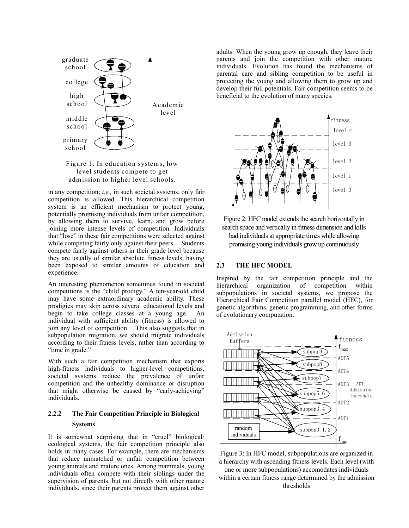

Figure 1: In education systems, low level students compete to get admission to higher level schools.

in any competition; *i.e.,* in such societal systems, only fair competition is allowed. This hierarchical competition system is an efficient mechanism to protect young, potentially promising individuals from unfair competition, by allowing them to survive, learn, and grow before joining more intense levels of competition. Individuals that "lose" in these fair competitions were selected against while competing fairly only against their peers. Students compete fairly against others in their grade level because they are usually of similar absolute fitness levels, having been exposed to similar amounts of education and experience.

An interesting phenomenon sometimes found in societal competitions is the "child prodigy." A ten-year-old child may have some extraordinary academic ability. These prodigies may skip across several educational levels and begin to take college classes at a young age. An individual with sufficient ability (fitness) is allowed to join any level of competition. This also suggests that in subpopulation migration, we should migrate individuals according to their fitness levels, rather than according to "time in grade."

With such a fair competition mechanism that exports high-fitness individuals to higher-level competitions, societal systems reduce the prevalence of unfair competition and the unhealthy dominance or disruption that might otherwise be caused by "early-achieving" individuals.

### **2.2.2 The Fair Competition Principle in Biological Systems**

It is somewhat surprising that in "cruel" biological/ ecological systems, the fair competition principle also holds in many cases. For example, there are mechanisms that reduce unmatched or unfair competition between young animals and mature ones. Among mammals, young individuals often compete with their siblings under the supervision of parents, but not directly with other mature individuals, since their parents protect them against other

adults. When the young grow up enough, they leave their parents and join the competition with other mature individuals. Evolution has found the mechanisms of parental care and sibling competition to be useful in protecting the young and allowing them to grow up and develop their full potentials. Fair competition seems to be beneficial to the evolution of many species.





#### **2.3 THE HFC MODEL**

Inspired by the fair competition principle and the organization of competition within subpopulations in societal systems, we propose the Hierarchical Fair Competition parallel model (HFC), for genetic algorithms, genetic programming, and other forms of evolutionary computation.



Figure 3: In HFC model, subpopulations are organized in a hierarchy with ascending fitness levels. Each level (with one or more subpopulations) accomodates individuals within a certain fitness range determined by the admission thresholds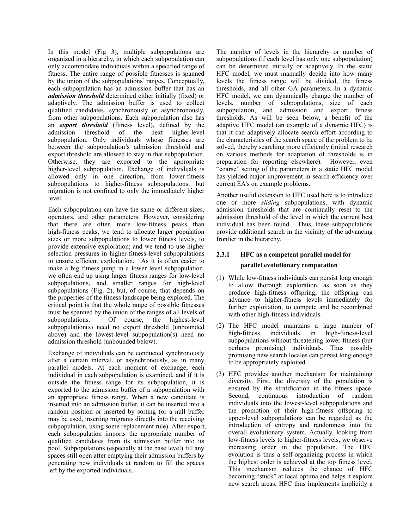In this model (Fig 3), multiple subpopulations are organized in a hierarchy, in which each subpopulation can only accommodate individuals within a specified range of fitness. The entire range of possible fitnesses is spanned by the union of the subpopulations' ranges. Conceptually, each subpopulation has an admission buffer that has an *admission threshold* determined either initially (fixed) or adaptively. The admission buffer is used to collect qualified candidates, synchronously or asynchronously, from other subpopulations. Each subpopulation also has an *export threshold* (fitness level), defined by the admission threshold of the next higher-level subpopulation. Only individuals whose fitnesses are between the subpopulation's admission threshold and export threshold are allowed to stay in that subpopulation. Otherwise, they are exported to the appropriate higher-level subpopulation. Exchange of individuals is allowed only in one direction, from lower-fitness subpopulations to higher-fitness subpopulations, but migration is not confined to only the immediately higher level.

Each subpopulation can have the same or different sizes, operators, and other parameters. However, considering that there are often more low-fitness peaks than high-fitness peaks, we tend to allocate larger population sizes or more subpopulations to lower fitness levels, to provide extensive exploration; and we tend to use higher selection pressures in higher-fitness-level subpopulations to ensure efficient exploitation. As it is often easier to make a big fitness jump in a lower level subpopulation, we often end up using larger fitness ranges for low-level subpopulations, and smaller ranges for high-level subpopulations (Fig. 2), but, of course, that depends on the properties of the fitness landscape being explored. The critical point is that the whole range of possible fitnesses must be spanned by the union of the ranges of all levels of subpopulations. Of course, the highest-level subpopulation(s) need no export threshold (unbounded above) and the lowest-level subpopulation(s) need no admission threshold (unbounded below).

Exchange of individuals can be conducted synchronously after a certain interval, or asynchronously, as in many parallel models. At each moment of exchange, each individual in each subpopulation is examined, and if it is outside the fitness range for its subpopulation, it is exported to the admission buffer of a subpopulation with an appropriate fitness range. When a new candidate is inserted into an admission buffer, it can be inserted into a random position or inserted by sorting (or a null buffer may be used, inserting migrants directly into the receiving subpopulation, using some replacement rule). After export, each subpopulation imports the appropriate number of qualified candidates from its admission buffer into its pool. Subpopulations (especially at the base level) fill any spaces still open after emptying their admission buffers by generating new individuals at random to fill the spaces left by the exported individuals.

The number of levels in the hierarchy or number of subpopulations (if each level has only one subpopulation) can be determined initially or adaptively. In the static HFC model, we must manually decide into how many levels the fitness range will be divided, the fitness thresholds, and all other GA parameters. In a dynamic HFC model, we can dynamically change the number of levels, number of subpopulations, size of each subpopulation, and admission and export fitness thresholds. As will be seen below, a benefit of the adaptive HFC model (an example of a dynamic HFC) is that it can adaptively allocate search effort according to the characteristics of the search space of the problem to be solved, thereby searching more efficiently (initial research on various methods for adaptation of thresholds is in preparation for reporting elsewhere). However, even "coarse" setting of the parameters in a static HFC model has yielded major improvement in search efficiency over current EA's on example problems.

Another useful extension to HFC used here is to introduce one or more *sliding* subpopulations, with dynamic admission thresholds that are continually reset to the admission threshold of the level in which the current best individual has been found. Thus, these subpopulations provide additional search in the vicinity of the advancing frontier in the hierarchy.

### **2.3.1 HFC as a competent parallel model for parallel evolutionary computation**

#### (1) While low-fitness individuals can persist long enough to allow thorough exploration, as soon as they produce high-fitness offspring, the offspring can advance to higher-fitness levels immediately for further exploitation, to compete and be recombined with other high-fitness individuals.

- (2) The HFC model maintains a large number of high-fitness individuals in high-fitness-level subpopulations without threatening lower-fitness (but perhaps promising) individuals. Thus possibly promising new search locales can persist long enough to be appropriately exploited.
- (3) HFC provides another mechanism for maintaining diversity. First, the diversity of the population is ensured by the stratification in the fitness space. Second, continuous introduction of random individuals into the lowest-level subpopulations and the promotion of their high-fitness offspring to upper-level subpopulations can be regarded as the introduction of entropy and randomness into the overall evolutionary system. Actually, looking from low-fitness levels to higher-fitness levels, we observe increasing order in the population. The HFC evolution is thus a self-organizing process in which the highest order is achieved at the top fitness level. This mechanism reduces the chance of HFC becoming "stuck" at local optima and helps it explore new search areas. HFC thus implements implicitly a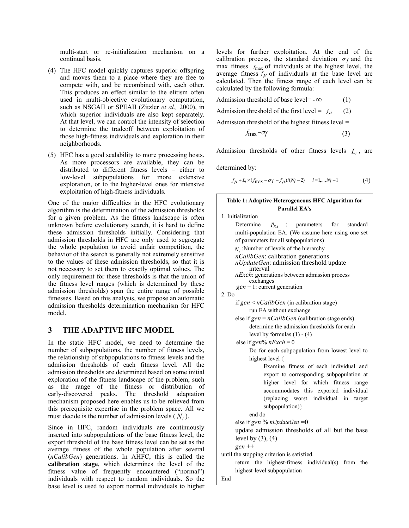multi-start or re-initialization mechanism on a continual basis.

- (4) The HFC model quickly captures superior offspring and moves them to a place where they are free to compete with, and be recombined with, each other. This produces an effect similar to the elitism often used in multi-objective evolutionary computation, such as NSGAII or SPEAII (Zitzler *et al.,* 2000), in which superior individuals are also kept separately. At that level, we can control the intensity of selection to determine the tradeoff between exploitation of those high-fitness individuals and exploration in their neighborhoods.
- (5) HFC has a good scalability to more processing hosts. As more processors are available, they can be distributed to different fitness levels – either to low-level subpopulations for more extensive exploration, or to the higher-level ones for intensive exploitation of high-fitness individuals.

One of the major difficulties in the HFC evolutionary algorithm is the determination of the admission thresholds for a given problem. As the fitness landscape is often unknown before evolutionary search, it is hard to define these admission thresholds initially. Considering that admission thresholds in HFC are only used to segregate the whole population to avoid unfair competition, the behavior of the search is generally not extremely sensitive to the values of these admission thresholds, so that it is not necessary to set them to exactly optimal values. The only requirement for these thresholds is that the union of the fitness level ranges (which is determined by these admission thresholds) span the entire range of possible fitnesses. Based on this analysis, we propose an automatic admission thresholds determination mechanism for HFC model.

#### **3 THE ADAPTIVE HFC MODEL**

In the static HFC model, we need to determine the number of subpopulations, the number of fitness levels, the relationship of subpopulations to fitness levels and the admission thresholds of each fitness level. All the admission thresholds are determined based on some initial exploration of the fitness landscape of the problem, such as the range of the fitness or distribution of early-discovered peaks. The threshold adaptation mechanism proposed here enables us to be relieved from this prerequisite expertise in the problem space. All we must decide is the number of admission levels  $(N<sub>i</sub>)$ .

Since in HFC, random individuals are continuously inserted into subpopulations of the base fitness level, the export threshold of the base fitness level can be set as the average fitness of the whole population after several (*nCalibGen*) generations. In AHFC, this is called the **calibration stage**, which determines the level of the fitness value of frequently encountered ("normal") individuals with respect to random individuals. So the base level is used to export normal individuals to higher

levels for further exploitation. At the end of the calibration process, the standard deviation  $\sigma_f$  and the max fitness  $f_{\text{max}}$  of individuals at the highest level, the average fitness  $f_{\mu}$  of individuals at the base level are calculated. Then the fitness range of each level can be calculated by the following formula:

Admission threshold of base level=  $-\infty$  (1)

Admission threshold of the first level =  $f<sub>u</sub>$  (2)

Admission threshold of the highest fitness level =

$$
f_{\text{max}} - \sigma_f \tag{3}
$$

Admission thresholds of other fitness levels  $L_i$ , are

determined by:

$$
f_{\mu} + L_i \times (f_{\text{max}} - \sigma_f - f_{\mu})/(N_l - 2) \qquad i = 1, ..., N_l - 1 \tag{4}
$$

| Table 1: Adaptive Heterogeneous HFC Algorithm for         |  |  |  |
|-----------------------------------------------------------|--|--|--|
| Parallel EA's                                             |  |  |  |
| 1. Initialization                                         |  |  |  |
| Determine<br>: parameters for standard<br>$P_{EA}$        |  |  |  |
| multi-population EA. (We assume here using one set        |  |  |  |
| of parameters for all subpopulations)                     |  |  |  |
| $N_i$ : Number of levels of the hierarchy                 |  |  |  |
| nCalibGen: calibration generations                        |  |  |  |
| nUpdateGen: admission threshold update<br>interval        |  |  |  |
| nExch: generations between admission process<br>exchanges |  |  |  |
| $gen = 1$ : current generation                            |  |  |  |
| 2. Do                                                     |  |  |  |
| if $gen < nCalibGen$ (in calibration stage)               |  |  |  |
| run EA without exchange                                   |  |  |  |
| else if $gen = nCalibGen$ (calibration stage ends)        |  |  |  |
| determine the admission thresholds for each               |  |  |  |
| level by formulas $(1) - (4)$                             |  |  |  |
| else if gen% $nExch = 0$                                  |  |  |  |
| Do for each subpopulation from lowest level to            |  |  |  |
| highest level {                                           |  |  |  |
| Examine fitness of each individual and                    |  |  |  |
| export to corresponding subpopulation at                  |  |  |  |
| higher level for which fitness<br>range                   |  |  |  |
| accommodates this exported individual                     |  |  |  |
| (replacing worst individual in target                     |  |  |  |
| subpopulation)}                                           |  |  |  |
| end do                                                    |  |  |  |
| else if gen % nUpdateGen = 0                              |  |  |  |
| update admission thresholds of all but the base           |  |  |  |
| level by $(3)$ , $(4)$                                    |  |  |  |
| $gen ++$                                                  |  |  |  |
| until the stopping criterion is satisfied.                |  |  |  |
| return the highest-fitness individual(s) from the         |  |  |  |
| highest-level subpopulation                               |  |  |  |
| End                                                       |  |  |  |
|                                                           |  |  |  |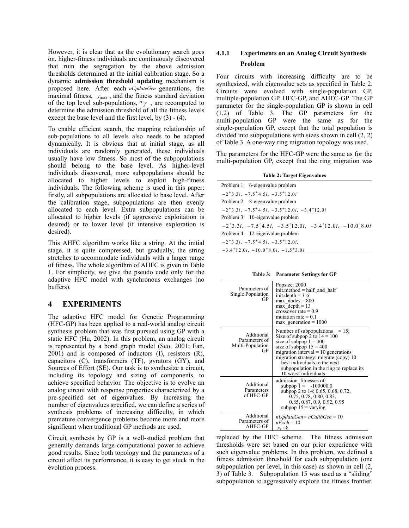However, it is clear that as the evolutionary search goes on, higher-fitness individuals are continuously discovered that ruin the segregation by the above admission thresholds determined at the initial calibration stage. So a dynamic **admission threshold updating** mechanism is proposed here. After each *nUpdateGen* generations, the maximal fitness,  $f_{\text{max}}$ , and the fitness standard deviation of the top level sub-populations,  $\sigma_f$ , are recomputed to determine the admission threshold of all the fitness levels except the base level and the first level, by (3) - (4).

To enable efficient search, the mapping relationship of sub-populations to all levels also needs to be adapted dynamically. It is obvious that at initial stage, as all individuals are randomly generated, these individuals usually have low fitness. So most of the subpopulations should belong to the base level. As higher-level individuals discovered, more subpopulations should be allocated to higher levels to exploit high-fitness individuals. The following scheme is used in this paper: firstly, all subpopulations are allocated to base level. After the calibration stage, subpopulations are then evenly allocated to each level. Extra subpopulations can be allocated to higher levels (if aggressive exploitation is desired) or to lower level (if intensive exploration is desired).

This AHFC algorithm works like a string. At the initial stage, it is quite compressed, but gradually, the string stretches to accommodate individuals with a larger range of fitness. The whole algorithm of AHFC is given in Table 1. For simplicity, we give the pseudo code only for the adaptive HFC model with synchronous exchanges (no buffers).

#### **4 EXPERIMENTS**

The adaptive HFC model for Genetic Programming (HFC-GP) has been applied to a real-world analog circuit synthesis problem that was first pursued using GP with a static HFC (Hu, 2002). In this problem, an analog circuit is represented by a bond graph model (Seo, 2001; Fan, 2001) and is composed of inductors (I), resistors (R), capacitors (C), transformers (TF), gyrators (GY), and Sources of Effort (SE). Our task is to synthesize a circuit, including its topology and sizing of components, to achieve specified behavior. The objective is to evolve an analog circuit with response properties characterized by a pre-specified set of eigenvalues. By increasing the number of eigenvalues specified, we can define a series of synthesis problems of increasing difficulty, in which premature convergence problems become more and more significant when traditional GP methods are used.

Circuit synthesis by GP is a well-studied problem that generally demands large computational power to achieve good results. Since both topology and the parameters of a circuit affect its performance, it is easy to get stuck in the evolution process.

#### **4.1.1 Experiments on an Analog Circuit Synthesis Problem**

Four circuits with increasing difficulty are to be synthesized, with eigenvalue sets as specified in Table 2. Circuits were evolved with single-population GP, multiple-population GP, HFC-GP, and AHFC-GP. The GP parameter for the single-population GP is shown in cell (1,2) of Table 3. The GP parameters for the multi-population GP were the same as for the single-population GP, except that the total population is divided into subpopulations with sizes shown in cell (2, 2) of Table 3. A one-way ring migration topology was used.

The parameters for the HFC-GP were the same as for the multi-population GP, except that the ring migration was

|  | Table 2: Target Eigenvalues |  |
|--|-----------------------------|--|
|  |                             |  |

| Problem 1: 6-eigenvalue problem                                                                         |
|---------------------------------------------------------------------------------------------------------|
| $-2^+3.3i, -7.5^+4.5i, -3.5^+12.0i$                                                                     |
| Problem 2: 8-eigenvalue problem                                                                         |
| $-2^{+}_{-}3.3i$ , $-7.5^{+}_{-}4.5i$ , $-3.5^{+}_{-}12.0i$ , $-3.4^{+}_{-}12.0i$                       |
| Problem 3: 10-eigenvalue problem                                                                        |
| $-2^{\circ}3.3i$ , $-7.5^{\circ}4.5i$ , $-3.5^{\circ}12.0i$ , $-3.4^{\circ}12.0i$ , $-10.0^{\circ}8.0i$ |
| Problem 4: 12-eigenvalue problem                                                                        |
| $-2^+3.3i, -7.5^+4.5i, -3.5^+12.0i,$                                                                    |
|                                                                                                         |

 $-3.4 \pm 12.0 i$ ,  $-10.0 \pm 8.0 i$ ,  $-1.5 \pm 3.0 i$ 

**Table 3: Parameter Settings for GP** 

| Parameters of<br>Single Population<br>GP              | Popsize: 2000<br>$init.$ method = half and half<br>init.depth $= 3-6$<br>$max$ nodes = 800<br>max depth $= 13$<br>crossover rate $= 0.9$<br>mutation rate $= 0.1$<br>$max$ generation = 1000                                                                                                                          |
|-------------------------------------------------------|-----------------------------------------------------------------------------------------------------------------------------------------------------------------------------------------------------------------------------------------------------------------------------------------------------------------------|
| Additional<br>Parameters of<br>Multi-Population<br>GР | Number of subpopulations<br>$= 15$ ;<br>Size of subpop 2 to $14 = 100$<br>size of subpop $1 = 300$<br>size of subpop $15 = 400$<br>migration interval $= 10$ generations<br>migration strategy: migrate (copy) 10<br>best individuals to the next<br>subpopulation in the ring to replace its<br>10 worst individuals |
| Additional<br>Parameters<br>of HFC-GP                 | admission fitnesses of:<br>subpop $1 = -100000.0$<br>subpop 2 to 14: 0.65, 0.68, 0.72,<br>0.75, 0.78, 0.80, 0.83,<br>0.85, 0.87, 0.9, 0.92, 0.95<br>subpop $15 = \text{varying}$                                                                                                                                      |
| Additional<br>Parameters of<br>AHFC-GP                | $nUpdateGen = nCalibGen = 10$<br>$nExch = 10$<br>$_{N_I} = 8$                                                                                                                                                                                                                                                         |

replaced by the HFC scheme. The fitness admission thresholds were set based on our prior experience with such eigenvalue problems. In this problem, we defined a fitness admission threshold for each subpopulation (one subpopulation per level, in this case) as shown in cell (2, 3) of Table 3. Subpopulation 15 was used as a "sliding" subpopulation to aggressively explore the fitness frontier.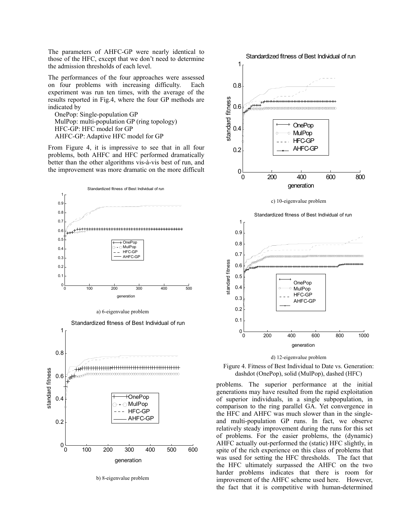The parameters of AHFC-GP were nearly identical to those of the HFC, except that we don't need to determine the admission thresholds of each level.

The performances of the four approaches were assessed on four problems with increasing difficulty. Each experiment was run ten times, with the average of the results reported in Fig.4, where the four GP methods are indicated by

 OnePop: Single-population GP MulPop: multi-population GP (ring topology) HFC-GP: HFC model for GP AHFC-GP: Adaptive HFC model for GP

From Figure 4, it is impressive to see that in all four problems, both AHFC and HFC performed dramatically better than the other algorithms vis-à-vis best of run, and the improvement was more dramatic on the more difficult



b) 8-eigenvalue problem



#### d) 12-eigenvalue problem

Figure 4. Fitness of Best Individual to Date vs. Generation: dashdot (OnePop), solid (MulPop), dashed (HFC)

problems. The superior performance at the initial generations may have resulted from the rapid exploitation of superior individuals, in a single subpopulation, in comparison to the ring parallel GA. Yet convergence in the HFC and AHFC was much slower than in the singleand multi-population GP runs. In fact, we observe relatively steady improvement during the runs for this set of problems. For the easier problems, the (dynamic) AHFC actually out-performed the (static) HFC slightly, in spite of the rich experience on this class of problems that was used for setting the HFC thresholds. The fact that the HFC ultimately surpassed the AHFC on the two harder problems indicates that there is room for improvement of the AHFC scheme used here. However, the fact that it is competitive with human-determined